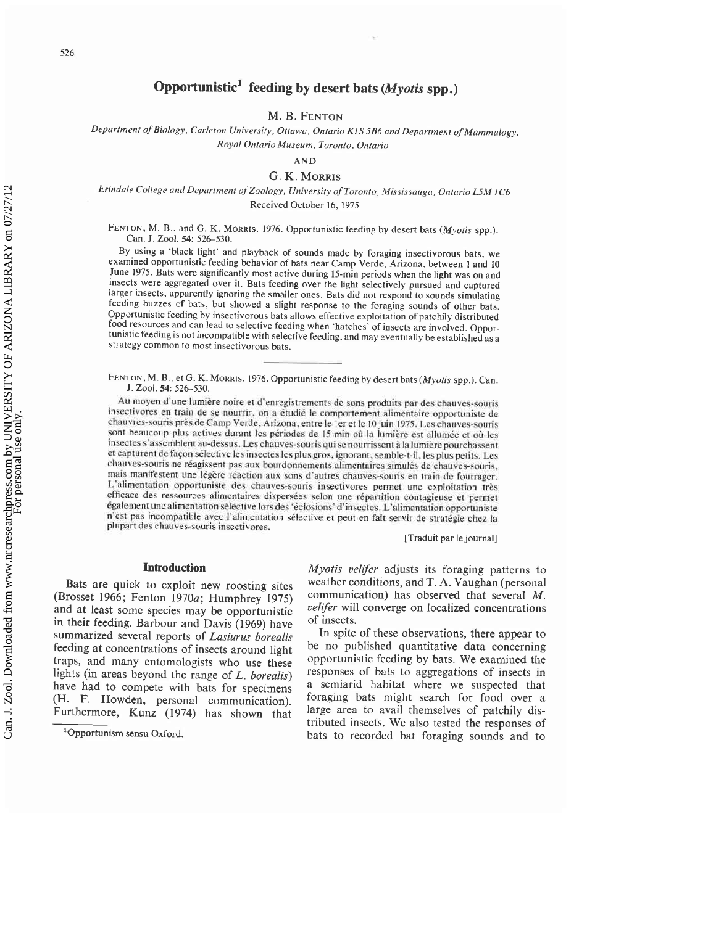# **Opportunistic1 feeding by desert bats (Myotis spp.)**

**M. B. FENTON** 

*Department of Biology, Carleton University, Ottawa, Ontario KISSB6 and Department of Mammalogy, Royal Ontario Museum, Toronto, Ontario* 

*AND* 

### *G. K. MORRIS*

## *Erindale College and Department of Zoology, University of Toronto, Mississauga, Ontario LSM IC6*  Received October 16, 1975

FENTON, M. B., and G. K. MORRIS. 1976. Opportunistic feeding by desert bats *(Myotis* spp.). Can. J. Zool. 54: 526-530.

By using a 'black light' and playback of sounds made by foraging insectivorous bats, we examined opportunistic feeding behavior of bats near Camp Verde, Arizona, between I and 10 June 1975. Bats were significantly most active during 15-min periods when the light was on and insects were aggregated over it. Bats feeding over the light selectively pursued and captured larger insects, apparently ignoring the smaller ones. Bats did not respond to sounds simulating feeding buzzes of bats, but showed a slight response to the foraging sounds of other bats. Opportunistic feeding by insectivorous bats allows effective exploitation of patchily distributed food resources and can lead to selective feeding when 'hatches' of insects are involved. Opportunistic feeding is not incompatible with selective feeding, and may eventually be established as a strategy common to most insectivorous bats.

FENTON, M. B., et G. K. MORRIS. 1976. Opportunistic feeding by desert bats *(Myotis* spp.). Can. J. Zool. 54: 526–530.

**Au moyen** d'une **lumikre** noire **er** d'enregistrements **de** sons **produits** par **des** chauves-qouris insectivores en train de se nourrir, on a étudié le comportement alimentaire opportuniste de chauvres-souris près de Camp Verde, Arizona, entre le 1er et le 10 juin 1975. Les chauves-souris sont beaucoup plus actives durant les périodes de 15 min où la lumière est allumée et où les insectes s'assemblent au-dessus. Les chauves-souris qui se nourrissent à la lumière pourchassent et capturent de façon sélective les insectes les plus gros, ignorant, semble-t-il, les plus petits. Les chauves-souris **ne** reagissent pas aux hourdonnernents alimenlaires sirnules de chauves-muris. **rnais** manifestent une legere reaction aus **son?** d'nutres chauves-souris en **twin** dc fournger. L'alimentation opportuniste des chauves-souris insectivores permet une exploitation très efficace des ressources alimentaires dispersées selon une répartition contagieuse et permet également une alimentation sélective lors des 'éclosions' d'insectes. L'alimentation opportuniste n'cqt pas incompaiihle avec I'alimentation relective et put en fait servir de strategic **chez** la plupart des chauves-souris insectivores.

[Traduit par le journal]

#### **Introduction**

Bats are quick to exploit new roosting sites (Brosset 1966; Fenton 1970a; Humphrey 1975) and at least some species may be opportunistic in their feeding. Barbour and Davis (1969) have summarized several reports of Lasiurus borealis feeding at concentrations of insects around light traps, and many entomologists who use these lights (in areas beyond the range of  $L$ . borealis) have had to compete with bats for specimens (H. F. Howden, personal communication). Furthermore, Kunz (1974) has shown that

'Opportunism sensu Oxford.

Myotis velifer adjusts its foraging patterns to weather conditions, and T. **A.** Vaughan (personal communication) has observed that several M. *velifer* will converge on localized concentrations of insects.

In spite of these observations, there appear to be no published quantitative data concerning opportunistic feeding by bats. We examined the responses of bats to aggregations of insects in a semiarid habitat where we suspected that foraging bats might search for food over a large area to avail themselves of patchily distributed insects. We also tested the responses of bats to recorded bat foraging sounds and to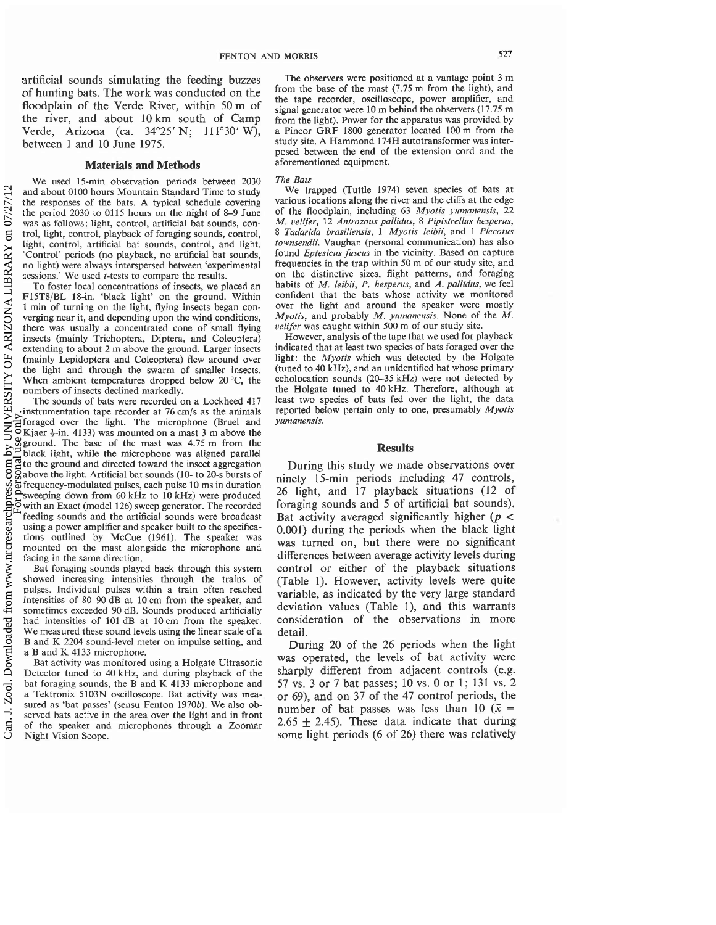artificial sounds simulating the feeding buzzes of hunting bats. The work was conducted on the floodplain of the Verde River, within 50 m of the river, and about 10 km south of Camp Verde, Arizona (ca. 34°25' N; 111°30' W), between 1 and 10 June 1975.

## **Materials and Methods**

We used 15-min observation periods between 2030 and about 0100 hours Mountain Standard Time to study the responses of the bats. A typical schedule covering the period 2030 to 0115 hours on the night of 8-9 June was as follows: light, control, artificial bat sounds, control, light, control, playback of foraging sounds, control, light, control, artificial bat sounds, control, and light. 'Control' periods (no playback, no artificial bat sounds, no light) were always interspersed between 'experimental sessions.' We used *t*-tests to compare the results.

To foster local concentrations of insects, we placed an F15T8/BL 18-in. 'black light' on the ground. Within 1 min of turning on the light, flying insects began converging near it, and depending upon the wind conditions, there was usually a concentrated cone of small flying insects (mainly Trichoptera, Diptera, and Coleoptera) extending to about 2 m above the ground. Larger insects (mainly Lepidoptera and Coleoptera) flew around over the light and through the swarm of smaller insects. When ambient temperatures dropped below 20 *"C,* the numbers of insects declined markedly.

The sounds of bats were recorded on a Lockheed 417 instrumentation tape recorder at 76 cm/s as the animals foraged over the light. The microphone (Bruel and Kjaer  $\frac{1}{2}$ -in. 4133) was mounted on a mast 3 m above the ground. The base of the mast was 4.75 m from the black light, while the microphone was aligned parallel to the ground and directed toward the insect aggregation above the light. Artificial bat sounds (10- to 20-s bursts of frequency-modulated pulses, each pulse 10 ms in duration sweeping down from 60 kHz to 10 kHz) were produced with an Exact (model 126) sweep generator. The recorded feeding sounds and the artificial sounds were broadcast using a power amplifier and speaker built to the specifications outlined by McCue (1961). The speaker was mounted on the mast alongside the microphone and facing in the same direction.

Bat foraging sounds played back through this system showed increasing intensities through the trains of pulses. Individual pulses within a train often reached intensities of 80-90 dB at 10 cm from the speaker, and sometimes exceeded 90 dB. Sounds produced artificially had intensities of 101 dB at 10 cm from the speaker. We measured these sound levels using the linear scale of a B and K 2204 sound-level meter on impulse setting, and a B and K 4133 microphone.

Bat activity was monitored using a Holgate Ultrasonic Detector tuned to 40 kHz, and during playback of the bat foraging sounds, the B and K 4133 microphone and a Tektronix 5103N oscilloscope. Bat activity was measured as 'bat passes' (sensu Fenton 1970b). We also observed bats active in the area over the light and in front of the speaker and microphones through a Zoomar Night Vision Scope.

The observers were positioned at a vantage point 3 m from the base of the mast (7.75 m from the light), and the tape recorder, oscilloscope, power amplifier, and signal generator were 10 m behind the observers (17.75 m from the light). Power for the apparatus was provided by a Pincor GRF 1800 generator located 100 m from the study site. A Hammond 174H autotransformer was interposed between the end of the extension cord and the aforementioned equipment.

#### *The Bats*

We trapped (Tuttle 1974) seven species of bats at various locations along the river and the cliffs at the edge of the floodplain, including 63 *Myotis yumanensis,* 22 *M. velifer,* 12 *Antrozous pallidus,* 8 *Pipistrellus hesperus,*  8 *Tadarida brasiliensis,* 1 *Myotis leibii,* and 1 *Plecotus townsendii.* Vaughan (personal communication) has also found *Eptesicus fuscus* in the vicinity. Based on capture frequencies in the trap within 50 m of our study site, and on the distinctive sizes, flight patterns, and foraging habits of *M. leibii, P, hesperus,* and *A. pallidus,* we feel confident that the bats whose activity we monitored over the light and around the speaker were mostly *Myotis,* and probably *M. yurnanensis.* None of the M. *velifer* was caught within 500 m of our study site.

However, analysis of the tape that we used for playback indicated that at least two species of bats foraged over the light: the *Myoris* which was detected by the Holgate (tuned to 40 kHz), and an unidentified bat whose primary echolocation sounds (20-35 kHz) were not detected by the Holgate tuned to 40 kHz. Therefore, although at least two species of bats fed over the light, the data reported below pertain only to one, presumably *Myotis yumanensis.* 

#### **Results**

During this study we made observations over ninety 15-min periods including 47 controls, 26 light, and 17 playback situations (12 of foraging sounds and 5 of artificial bat sounds). Bat activity averaged significantly higher ( $p <$ 0.001) during the periods when the black light was turned on, but there were no significant differences between average activity levels during control or either of the playback situations (Table 1). However, activity levels were quite variable, as indicated by the very large standard deviation values (Table I), and this warrants consideration of the observations in more detail.

During 20 of the 26 periods when the light was operated, the levels of bat activity were sharply different from adjacent controls (e.g. 57 vs. 3 or 7 bat passes; 10 vs. 0 or 1; 131 vs. 2 or 69), and on 37 of the 47 control periods, the number of bat passes was less than 10 ( $\bar{x}$  = 2.65  $\pm$  2.45). These data indicate that during some light periods (6 of 26) there was relatively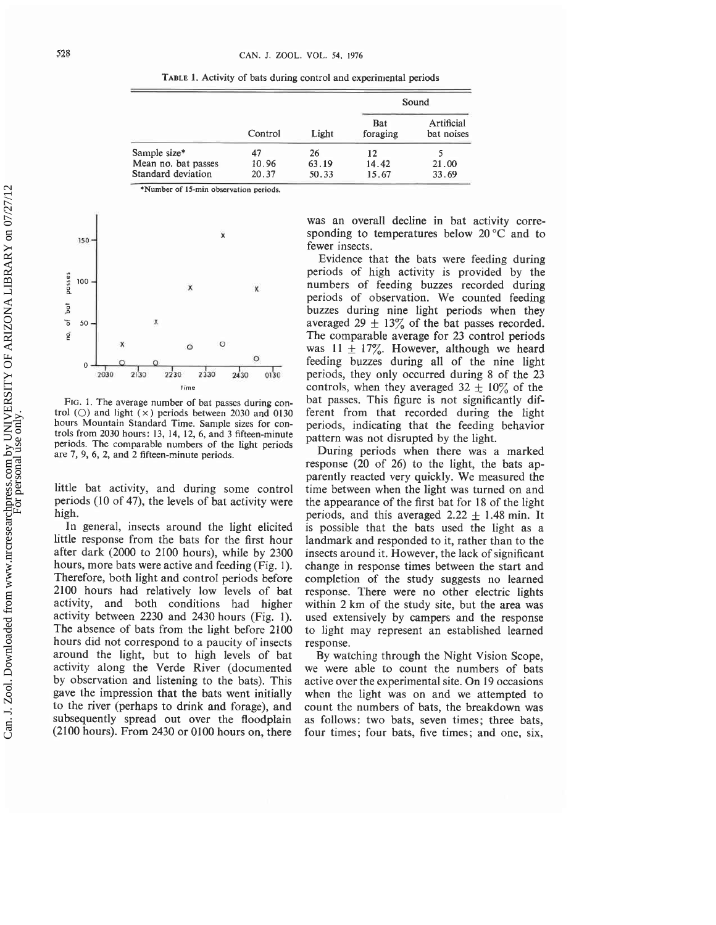**TABLE 1. Activity of bats during control and experimental periods** 

|                     | Control | Light | Sound                  |                          |
|---------------------|---------|-------|------------------------|--------------------------|
|                     |         |       | <b>Bat</b><br>foraging | Artificial<br>bat noises |
| Sample size*        | 47      | 26    | 12                     |                          |
| Mean no. bat passes | 10.96   | 63.19 | 14.42                  | 21.00                    |
| Standard deviation  | 20.37   | 50.33 | 15.67                  | 33.69                    |

**\*Number of 15-min observation periods.** 



**FIG. 1. The average number of bat passes during con** $trol$  ( $\bigcirc$ ) and light  $(\times)$  periods between 2030 and 0130 **hours Mountain Standard Time. Sample sizes for controls from 2030 hours: 13, 14, 12, 6, and 3 fifteen-minute periods. The comparable numbers of the light periods are 7, 9, 6, 2, and 2 fifteen-minute periods.** 

little bat activity, and during some control periods (10 of 47), the levels of bat activity were high.

In general, insects around the light elicited little response from the bats for the first hour after dark (2000 to 2100 hours), while by 2300 hours, more bats were active and feeding (Fig. 1). Therefore, both light and control periods before 2100 hours had relatively low levels of bat activity, and both conditions had higher activity between 2230 and 2430 hours (Fig. 1). The absence of bats from the light before 2100 hours did not correspond to a paucity of insects around the light, but to high levels of bat activity along the Verde River (documented by observation and listening to the bats). This gave the impression that the bats went initially to the river (perhaps to drink and forage), and subsequently spread out over the floodplain (2100 hours). From 2430 or 0100 hours on, there

was an overall decline in bat activity corresponding to temperatures below 20 *"C* and to fewer insects.

Evidence that the bats were feeding during periods of high activity is provided by the numbers of feeding buzzes recorded during periods of observation. We counted feeding buzzes during nine light periods when they averaged 29  $\pm$  13% of the bat passes recorded. The comparable average for 23 control periods was  $11 \pm 17\%$ . However, although we heard feeding buzzes during all of the nine light periods, they only occurred during 8 of the 23 controls, when they averaged  $32 \pm 10\%$  of the bat passes. This figure is not significantly different from that recorded during the light periods, indicating that the feeding behavior pattern was not disrupted by the light.

During periods when there was a marked response (20 of 26) to the light, the bats apparently reacted very quickly. We measured the time between when the light was turned on and the appearance of the first bat for 18 of the light periods, and this averaged  $2.22 \pm 1.48$  min. It is possible that the bats used the light as a landmark and responded to it, rather than to the insects around it. However, the lack of significant change in response times between the start and completion of the study suggests no learned response. There were no other electric lights within 2 km of the study site, but the area was used extensively by campers and the response to light may represent an established learned response.

By watching through the Night Vision Scope, we were able to count the numbers of bats active over the experimental site. On 19 occasions when the light was on and we attempted to count the numbers of bats, the breakdown was as follows: two bats, seven times; three bats, four times; four bats, five times; and one, six,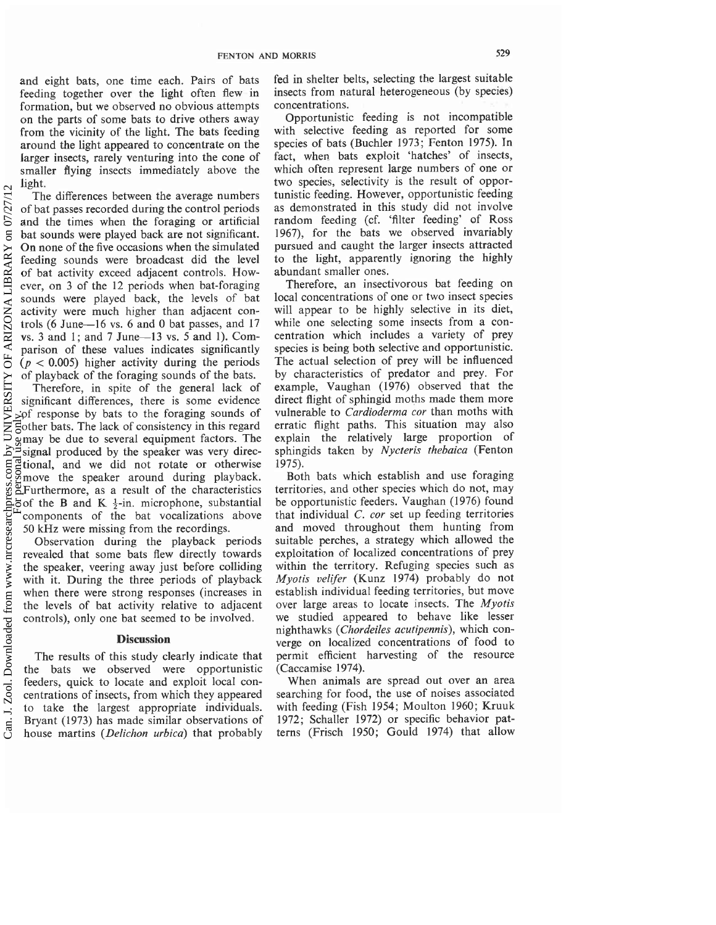and eight bats, one time each. Pairs of bats feeding together over the light often flew in formation, but we observed no obvious attempts on the parts of some bats to drive others away from the vicinity of the light. The bats feeding around the light appeared to concentrate on the larger insects, rarely venturing into the cone of smaller flying insects immediately above the light.

The differences between the average numbers of bat passes recorded during the control periods and the times when the foraging or artificial bat sounds were played back are not significant. On none of the five occasions when the simulated feeding sounds were broadcast did the level of bat activity exceed adjacent controls. However, on 3 of the 12 periods when bat-foraging sounds were played back, the levels of bat activity were much higher than adjacent controls (6 June-16 vs. 6 and 0 bat passes, and 17 vs. **3** and 1 ; and 7 June-13 vs. 5 and 1). Comparison of these values indicates significantly  $(p < 0.005)$  higher activity during the periods of playback of the foraging sounds of the bats.

Therefore, in spite of the general lack of significant differences, there is some evidence of response by bats to the foraging sounds of other bats. The lack of consistency in this regard may be due to several equipment factors. The signal produced by the speaker was very directional, and we did not rotate or otherwise move the speaker around during playback. Furthermore, as a result of the characteristics of the B and K  $\frac{1}{2}$ -in. microphone, substantial components of the bat vocalizations above 50 kHz were missing from the recordings. Can. J. Zool. Downloaded from www.nrcresearchpress.com by UNIVERSITY OF ARIZONA LIBRARY on 07/27/12  $\sim$  Can be research personal use only.

Observation during the playback periods revealed that some bats flew directly towards the speaker, veering away just before colliding with it. During the three periods of playback when there were strong responses (increases in the levels of bat activity relative to adjacent controls), only one bat seemed to be involved.

## **Discussion**

The results of this study clearly indicate that the bats we observed were opportunistic feeders, quick to locate and exploit local concentrations of insects, from which they appeared to take the largest appropriate individuals. Bryant (1973) has made similar observations of house martins (Delichon urbica) that probably fed in shelter belts, selecting the largest suitable insects from natural heterogeneous (by species) concentrations.

Opportunistic feeding is not incompatible with selective feeding as reported for some species of bats (Buchler 1973; Fenton 1975). In fact, when bats exploit 'hatches' of insects, which often represent large numbers of one or two species, selectivity is the result of opportunistic feeding. However, opportunistic feeding as demonstrated in this study did not involve random feeding (cf. 'filter feeding' of Ross 1967), for the bats we observed invariably pursued and caught the larger insects attracted to the light, apparently ignoring the highly abundant smaller ones.

Therefore, an insectivorous bat feeding on local concentrations of one or two insect species will appear to be highly selective in its diet, while one selecting some insects from a concentration which includes a variety of prey species is being both selective and opportunistic. The actual selection of prey will be influenced by characteristics of predator and prey. For example, Vaughan (1976) observed that the direct flight of sphingid moths made them more vulnerable to Cardioderma cor than moths with erratic flight paths. This situation may also explain the relatively large proportion of sphingids taken by Nycteris thebaica (Fenton 1975).

Both bats which establish and use foraging territories, and other species which do not, may be opportunistic feeders. Vaughan (1976) found that individual  $C$ . cor set up feeding territories and moved throughout them hunting from suitable perches, a strategy which allowed the exploitation of localized concentrations of prey within the territory. Refuging species such as Myotis velifer (Kunz 1974) probably do not establish individual feeding territories, but move over large areas to locate insects. The *Myotis* we studied appeared to behave like lesser nighthawks (Chordeiles acutipennis), which converge on localized concentrations of food to permit efficient harvesting of the resource (Caccamise 1974).

When animals are spread out over an area searching for food, the use of noises associated with feeding (Fish 1954; Moulton 1960; Kruuk 1972; Schaller 1972) or specific behavior patterns (Frisch 1950; Gould 1974) that allow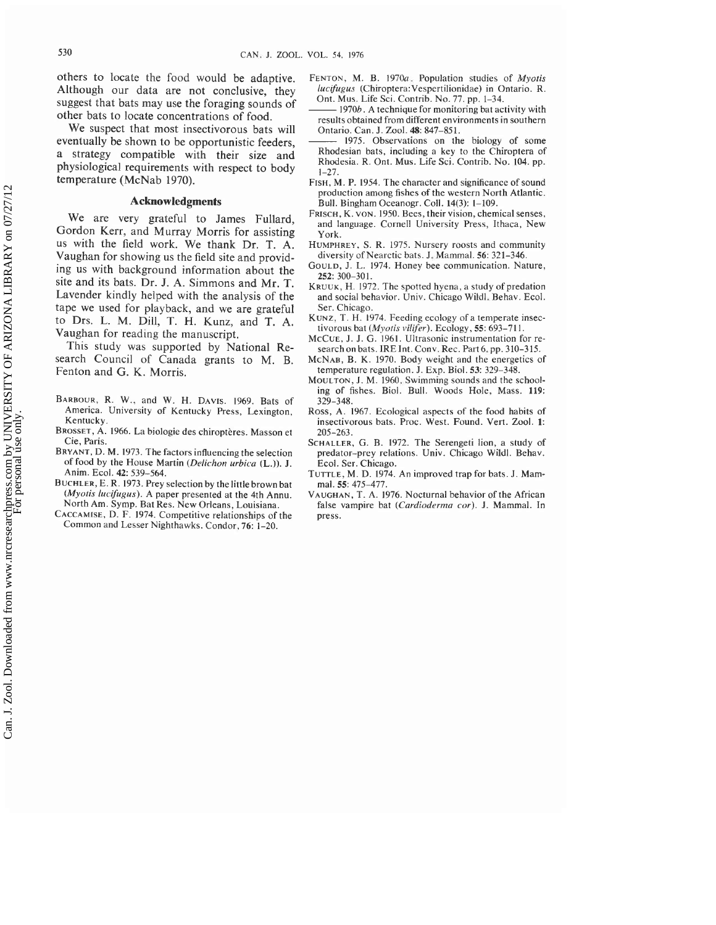others to locate the food would be adaptive. Although our data are not conclusive, they suggest that bats may use the foraging sounds of other bats to locate concentrations of food.

We suspect that most insectivorous bats will eventually be shown to be opportunistic feeders, a strategy compatible with their size and physiological requirements with respect to body temperature (McNab 1970).

### **Acknowledgments**

We are very grateful to James Fullard, Gordon Kerr, and Murray Morris for assisting us with the field work. We thank Dr. T. A. Vaughan for showing us the field site and providing us with background information about the site and its bats. Dr. J. A. Simmons and Mr. T. Lavender kindly helped with the analysis of the tape we used for playback, and we are grateful to Drs. L. M. Dill, T. H. Kunz, and T. A. Vaughan for reading the manuscript.

This study was supported by National Research Council of Canada grants to M. B. Fenton and G. K. Morris.

- BARBOUR, R. W., and W. H. DAVIS. 1969. Bats of America. University of Kentucky Press, Lexington, Kentucky.
- BROSSET, A. 1966. La biologie des chiroptères. Masson et Cie, Paris.
- BRYANT, D. M. 1973. The factors influencing the selection of food by the House Martin (Delichon urbica **(L.)).** J. Anim. Ecol. 42: 539-564.
- BUCHLER, E. R. 1973. Prey selection by the little brown bat (Myotis lucifugus). A paper presented at the 4th Annu. North Am. Symp. Bat Res. New Orleans, Louisiana.
- CACCAMISE, D.F. 1974. Competitive relationships of the Common and Lesser Nighthawks. Condor, 76: 1-20.
- FENTON, M. B. 1970a. Population studies of Myotis lucifugus (Chiroptera:Vespertilionidae) in Ontario. R. Ont. Mus. Life Sci. Contrib. No. 77. pp. 1-34.
- $\cdot$  1970 $b$  . A technique for monitoring bat activity with results obtained from different environments in southern Ontario. Can. J. Zool. 48: 847-851.
- 1975. Observations on the biology of some Rhodesian bats, including a key to the Chiroptera of Rhodesia. R. Ont. Mus. Life Sci. Contrib. No. 104. pp. 1-27.
- FISH, M. P. 1954. The character and significance of sound production among fishes of the western North Atlantic. Bull. Bingham Oceanogr. Coll. 14(3): 1-109.
- FRISCH, K. VON. 1950. Bees, their vision, chemical senses, and language. Cornell University Press, Ithaca, New York.
- HUMPHREY, S.R. 1975. Nursery roosts and community diversity of Nearctic bats. J. Mammal. 56: 321-346.
- COULD, J. L. 1974. Honey bee communication. Nature, 252: 300-301.
- KRUUK, H. 1972. The spotted hyena, a study of predation and social behavior. Univ. Chicago Wildl. Behav. Ecol. Ser. Chicago.
- KUNZ, T. H. 1974. Feeding ecology of a temperate insectivorous bat (Myotis vilifer). Ecology, 55: 693-711.
- MCCUE, J. J. G. 1961. Ultrasonic instrumentation for research on bats. IRE Int. Conv. Rec. Part 6. pp. 310-315.
- MCNAB, B. K. 1970. Body weight and the energetics of temperature regulation. J. Exp. Biol. 53: 329-348.
- MOULTON, J. M. 1960. Swimming sounds and the schooling of fishes. Biol. Bull. Woods Hole, Mass. 119: 329-348.
- Ross, A. 1967. Ecological aspects of the food habits of insectivorous bats. Proc. West. Found. Vert. Zool. **1:**  205-263.
- SCHALLER, G. B. 1972. The Serengeti lion, a study of predator-prey relations. Univ. Chicago Wildl. Behav. Ecol. Ser. Chicago.
- TUTTLE, M. D. 1974. An improved trap for bats. J. Mammal. 55: 475-477.
- VAUGHAN, T.A. 1976. Nocturnal behavior of the African false vampire bat (Cardioderma cor). J. Mammal. In press.